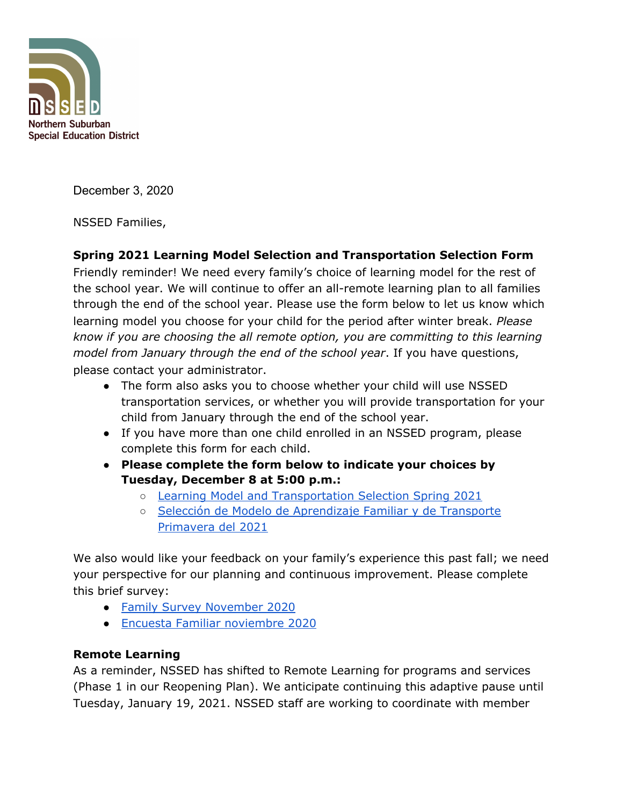

December 3, 2020

NSSED Families,

# **Spring 2021 Learning Model Selection and Transportation Selection Form**

Friendly reminder! We need every family's choice of learning model for the rest of the school year. We will continue to offer an all-remote learning plan to all families through the end of the school year. Please use the form below to let us know which learning model you choose for your child for the period after winter break. *Please know if you are choosing the all remote option, you are committing to this learning model from January through the end of the school year*. If you have questions, please contact your administrator.

- The form also asks you to choose whether your child will use NSSED transportation services, or whether you will provide transportation for your child from January through the end of the school year.
- If you have more than one child enrolled in an NSSED program, please complete this form for each child.
- **● Please complete the form below to indicate your choices by Tuesday, December 8 at 5:00 p.m.:**
	- Learning Model and [Transportation](https://docs.google.com/forms/d/e/1FAIpQLSfPiWsZcgOgE9xXz5YlJBENl94GjHuocI5aPJy4bs67u9BkDw/viewform?usp=sf_link) Selection Spring 2021
	- Selección de Modelo de [Aprendizaje](https://docs.google.com/forms/d/e/1FAIpQLSfq-RBEiPK5yarLtCFuu1aZ0f8qJovYNrNCs2sT3_XUom0xbA/viewform?usp=sf_link) Familiar y de Transporte [Primavera](https://docs.google.com/forms/d/e/1FAIpQLSfq-RBEiPK5yarLtCFuu1aZ0f8qJovYNrNCs2sT3_XUom0xbA/viewform?usp=sf_link) del 2021

We also would like your feedback on your family's experience this past fall; we need your perspective for our planning and continuous improvement. Please complete this brief survey:

- Family Survey [November](https://docs.google.com/forms/d/e/1FAIpQLSd4gu2JRhC75rq5Z9z1aHwF2Vx7Z9biDUtzJfd5iFn-Pdm8tw/viewform?usp=sf_link) 2020
- Encuesta Familiar [noviembre](https://docs.google.com/forms/d/e/1FAIpQLSeWrKmyiMGKBcOKoUZbpHMF5HQcyDKlv-iIL-nSW-6xqBlriQ/viewform?usp=sf_link) 2020

## **Remote Learning**

As a reminder, NSSED has shifted to Remote Learning for programs and services (Phase 1 in our Reopening Plan). We anticipate continuing this adaptive pause until Tuesday, January 19, 2021. NSSED staff are working to coordinate with member